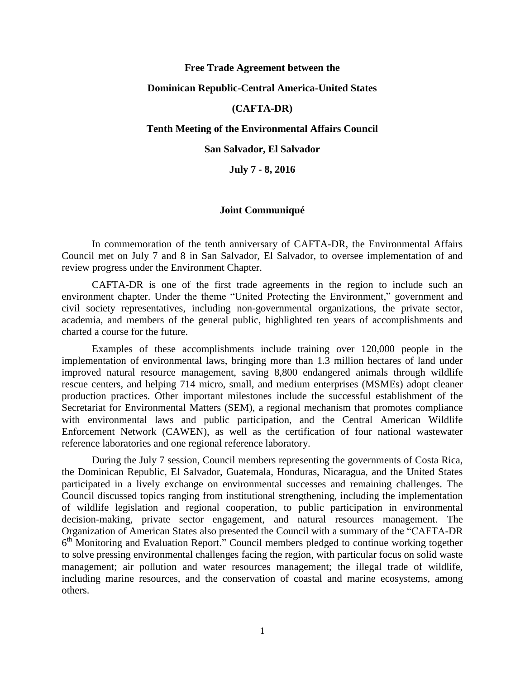## **Free Trade Agreement between the**

## **Dominican Republic-Central America-United States**

# **(CAFTA-DR)**

#### **Tenth Meeting of the Environmental Affairs Council**

#### **San Salvador, El Salvador**

**July 7 - 8, 2016**

#### **Joint Communiqué**

In commemoration of the tenth anniversary of CAFTA-DR, the Environmental Affairs Council met on July 7 and 8 in San Salvador, El Salvador, to oversee implementation of and review progress under the Environment Chapter.

CAFTA-DR is one of the first trade agreements in the region to include such an environment chapter. Under the theme "United Protecting the Environment," government and civil society representatives, including non-governmental organizations, the private sector, academia, and members of the general public, highlighted ten years of accomplishments and charted a course for the future.

Examples of these accomplishments include training over 120,000 people in the implementation of environmental laws, bringing more than 1.3 million hectares of land under improved natural resource management, saving 8,800 endangered animals through wildlife rescue centers, and helping 714 micro, small, and medium enterprises (MSMEs) adopt cleaner production practices. Other important milestones include the successful establishment of the Secretariat for Environmental Matters (SEM), a regional mechanism that promotes compliance with environmental laws and public participation, and the Central American Wildlife Enforcement Network (CAWEN), as well as the certification of four national wastewater reference laboratories and one regional reference laboratory.

During the July 7 session, Council members representing the governments of Costa Rica, the Dominican Republic, El Salvador, Guatemala, Honduras, Nicaragua, and the United States participated in a lively exchange on environmental successes and remaining challenges. The Council discussed topics ranging from institutional strengthening, including the implementation of wildlife legislation and regional cooperation, to public participation in environmental decision-making, private sector engagement, and natural resources management. The Organization of American States also presented the Council with a summary of the "CAFTA-DR 6<sup>th</sup> Monitoring and Evaluation Report." Council members pledged to continue working together to solve pressing environmental challenges facing the region, with particular focus on solid waste management; air pollution and water resources management; the illegal trade of wildlife, including marine resources, and the conservation of coastal and marine ecosystems, among others.